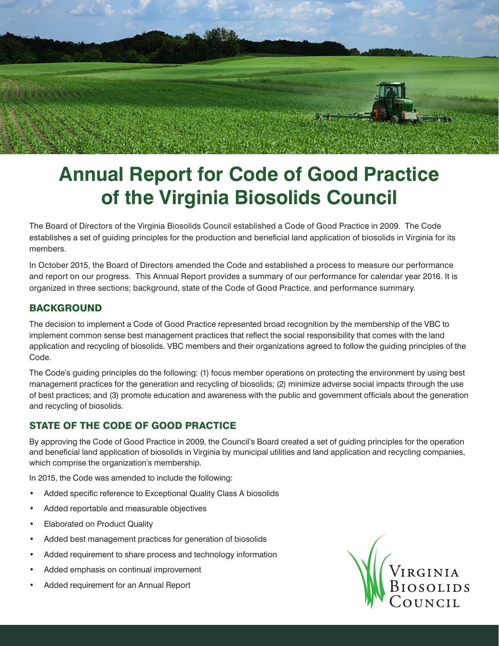

# **Annual Report for Code of Good Practice of the Virginia Biosolids Council**

The Board of Directors of the Virginia Biosolids Council established a Code of Good Practice in 2009. The Code establishes a set of guiding principles for the production and beneficial land application of biosolids in Virginia for its members.

In October 2015, the Board of Directors amended the Code and established a process to measure our performance and report on our progress. This Annual Report provides a summary of our performance for calendar year 2016. It is organized in three sections; background, state of the Code of Good Practice, and performance summary.

### **BACKGROUND**

The decision to implement a Code of Good Practice represented broad recognition by the membership of the VBC to implement common sense best management practices that reflect the social responsibility that comes with the land application and recycling of biosolids. VBC members and their organizations agreed to follow the guiding principles of the Code.

The Code's guiding principles do the following: (1) focus member operations on protecting the environment by using best management practices for the generation and recycling of biosolids; (2) minimize adverse social impacts through the use of best practices; and (3) promote education and awareness with the public and government officials about the generation and recycling of biosolids.

### STATE OF THE CODE OF GOOD PRACTICE

By approving the Code of Good Practice in 2009, the Council's Board created a set of guiding principles for the operation and beneficial land application of biosolids in Virginia by municipal utilities and land application and recycling companies, which comprise the organization's membership.

In 2015, the Code was amended to include the following:

- Added specific reference to Exceptional Quality Class A biosolids
- Added reportable and measurable objectives
- **Elaborated on Product Quality**
- Added best management practices for generation of biosolids
- Added requirement to share process and technology information
- Added emphasis on continual improvement
- Added requirement for an Annual Report

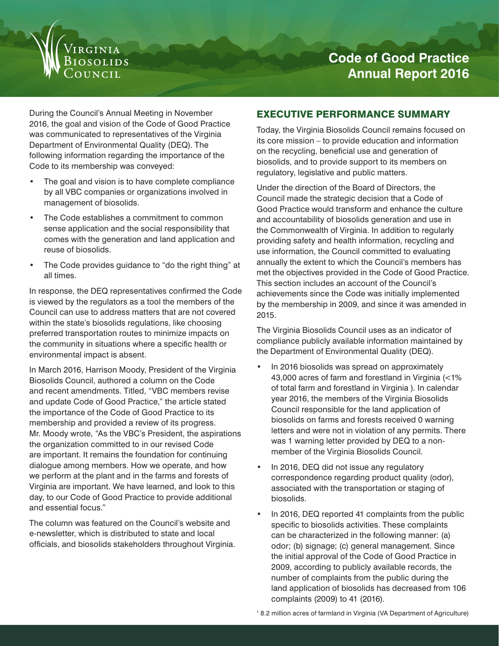

During the Council's Annual Meeting in November 2016, the goal and vision of the Code of Good Practice was communicated to representatives of the Virginia Department of Environmental Quality (DEQ). The following information regarding the importance of the Code to its membership was conveyed:

- The goal and vision is to have complete compliance by all VBC companies or organizations involved in management of biosolids.
- The Code establishes a commitment to common sense application and the social responsibility that comes with the generation and land application and reuse of biosolids.
- The Code provides guidance to "do the right thing" at all times.

In response, the DEQ representatives confirmed the Code is viewed by the regulators as a tool the members of the Council can use to address matters that are not covered within the state's biosolids regulations, like choosing preferred transportation routes to minimize impacts on the community in situations where a specific health or environmental impact is absent.

In March 2016, Harrison Moody, President of the Virginia Biosolids Council, authored a column on the Code and recent amendments. Titled, "VBC members revise and update Code of Good Practice," the article stated the importance of the Code of Good Practice to its membership and provided a review of its progress. Mr. Moody wrote, "As the VBC's President, the aspirations the organization committed to in our revised Code are important. It remains the foundation for continuing dialogue among members. How we operate, and how we perform at the plant and in the farms and forests of Virginia are important. We have learned, and look to this day, to our Code of Good Practice to provide additional and essential focus."

The column was featured on the Council's website and e-newsletter, which is distributed to state and local officials, and biosolids stakeholders throughout Virginia.

## EXECUTIVE PERFORMANCE SUMMARY

Today, the Virginia Biosolids Council remains focused on its core mission – to provide education and information on the recycling, beneficial use and generation of biosolids, and to provide support to its members on regulatory, legislative and public matters.

Under the direction of the Board of Directors, the Council made the strategic decision that a Code of Good Practice would transform and enhance the culture and accountability of biosolids generation and use in the Commonwealth of Virginia. In addition to regularly providing safety and health information, recycling and use information, the Council committed to evaluating annually the extent to which the Council's members has met the objectives provided in the Code of Good Practice. This section includes an account of the Council's achievements since the Code was initially implemented by the membership in 2009, and since it was amended in 2015.

The Virginia Biosolids Council uses as an indicator of compliance publicly available information maintained by the Department of Environmental Quality (DEQ).

- In 2016 biosolids was spread on approximately 43,000 acres of farm and forestland in Virginia (<1% of total farm and forestland in Virginia ). In calendar year 2016, the members of the Virginia Biosolids Council responsible for the land application of biosolids on farms and forests received 0 warning letters and were not in violation of any permits. There was 1 warning letter provided by DEQ to a nonmember of the Virginia Biosolids Council.
- In 2016, DEQ did not issue any regulatory correspondence regarding product quality (odor), associated with the transportation or staging of biosolids.
- In 2016, DEQ reported 41 complaints from the public specific to biosolids activities. These complaints can be characterized in the following manner: (a) odor; (b) signage; (c) general management. Since the initial approval of the Code of Good Practice in 2009, according to publicly available records, the number of complaints from the public during the land application of biosolids has decreased from 106 complaints (2009) to 41 (2016).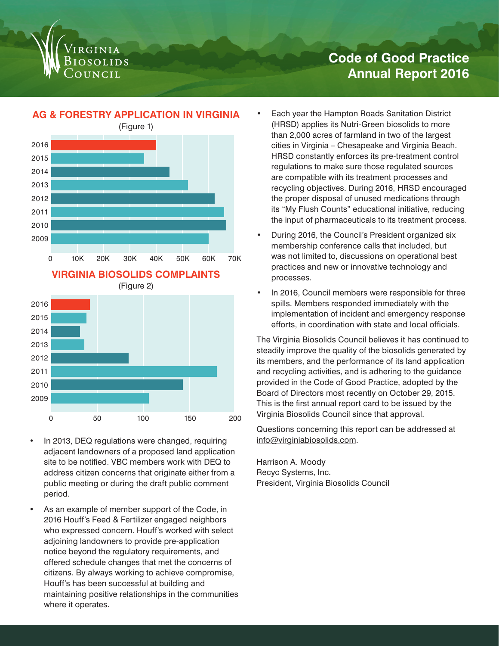

# **Code of Good Practice Annual Report 2016**

# **AG & FORESTRY APPLICATION IN VIRGINIA**





- In 2013, DEQ regulations were changed, requiring adjacent landowners of a proposed land application site to be notified. VBC members work with DEQ to address citizen concerns that originate either from a public meeting or during the draft public comment period.
- As an example of member support of the Code, in 2016 Houff's Feed & Fertilizer engaged neighbors who expressed concern. Houff's worked with select adjoining landowners to provide pre-application notice beyond the regulatory requirements, and offered schedule changes that met the concerns of citizens. By always working to achieve compromise, Houff's has been successful at building and maintaining positive relationships in the communities where it operates.
- Each year the Hampton Roads Sanitation District (HRSD) applies its Nutri-Green biosolids to more than 2,000 acres of farmland in two of the largest cities in Virginia – Chesapeake and Virginia Beach. HRSD constantly enforces its pre-treatment control regulations to make sure those regulated sources are compatible with its treatment processes and recycling objectives. During 2016, HRSD encouraged the proper disposal of unused medications through its "My Flush Counts" educational initiative, reducing the input of pharmaceuticals to its treatment process.
- During 2016, the Council's President organized six membership conference calls that included, but was not limited to, discussions on operational best practices and new or innovative technology and processes.
- In 2016, Council members were responsible for three spills. Members responded immediately with the implementation of incident and emergency response efforts, in coordination with state and local officials.

The Virginia Biosolids Council believes it has continued to steadily improve the quality of the biosolids generated by its members, and the performance of its land application and recycling activities, and is adhering to the guidance provided in the Code of Good Practice, adopted by the Board of Directors most recently on October 29, 2015. This is the first annual report card to be issued by the Virginia Biosolids Council since that approval.

Questions concerning this report can be addressed at info@virginiabiosolids.com.

Harrison A. Moody Recyc Systems, Inc. President, Virginia Biosolids Council